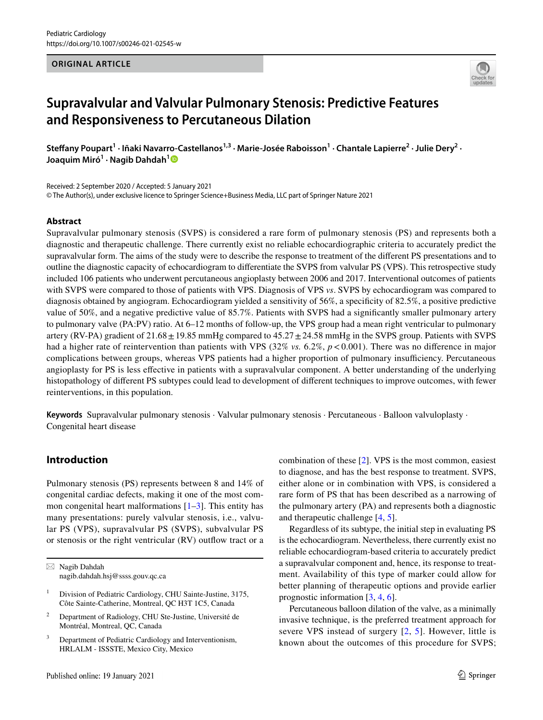#### **ORIGINAL ARTICLE**



# **Supravalvular and Valvular Pulmonary Stenosis: Predictive Features and Responsiveness to Percutaneous Dilation**

Steffany Poupart<sup>1</sup> · Iñaki Navarro-Castellanos<sup>1,3</sup> · Marie-Josée Raboisson<sup>1</sup> · Chantale Lapierre<sup>2</sup> · Julie Dery<sup>2</sup> · **Joaquim Miró<sup>1</sup> · Nagib Dahdah[1](http://orcid.org/0000-0001-7715-3169)**

Received: 2 September 2020 / Accepted: 5 January 2021 © The Author(s), under exclusive licence to Springer Science+Business Media, LLC part of Springer Nature 2021

#### **Abstract**

Supravalvular pulmonary stenosis (SVPS) is considered a rare form of pulmonary stenosis (PS) and represents both a diagnostic and therapeutic challenge. There currently exist no reliable echocardiographic criteria to accurately predict the supravalvular form. The aims of the study were to describe the response to treatment of the diferent PS presentations and to outline the diagnostic capacity of echocardiogram to diferentiate the SVPS from valvular PS (VPS). This retrospective study included 106 patients who underwent percutaneous angioplasty between 2006 and 2017. Interventional outcomes of patients with SVPS were compared to those of patients with VPS. Diagnosis of VPS *vs*. SVPS by echocardiogram was compared to diagnosis obtained by angiogram. Echocardiogram yielded a sensitivity of 56%, a specifcity of 82.5%, a positive predictive value of 50%, and a negative predictive value of 85.7%. Patients with SVPS had a signifcantly smaller pulmonary artery to pulmonary valve (PA:PV) ratio. At 6–12 months of follow-up, the VPS group had a mean right ventricular to pulmonary artery (RV-PA) gradient of  $21.68 \pm 19.85$  mmHg compared to  $45.27 \pm 24.58$  mmHg in the SVPS group. Patients with SVPS had a higher rate of reintervention than patients with VPS (32% *vs.* 6.2%,  $p < 0.001$ ). There was no difference in major complications between groups, whereas VPS patients had a higher proportion of pulmonary insufficiency. Percutaneous angioplasty for PS is less efective in patients with a supravalvular component. A better understanding of the underlying histopathology of diferent PS subtypes could lead to development of diferent techniques to improve outcomes, with fewer reinterventions, in this population.

**Keywords** Supravalvular pulmonary stenosis · Valvular pulmonary stenosis · Percutaneous · Balloon valvuloplasty · Congenital heart disease

# **Introduction**

Pulmonary stenosis (PS) represents between 8 and 14% of congenital cardiac defects, making it one of the most common congenital heart malformations  $[1-3]$  $[1-3]$  $[1-3]$ . This entity has many presentations: purely valvular stenosis, i.e., valvular PS (VPS), supravalvular PS (SVPS), subvalvular PS or stenosis or the right ventricular (RV) outfow tract or a

- <sup>2</sup> Department of Radiology, CHU Ste-Justine, Université de Montréal, Montreal, QC, Canada
- Department of Pediatric Cardiology and Interventionism, HRLALM - ISSSTE, Mexico City, Mexico

combination of these [[2\]](#page-6-2). VPS is the most common, easiest to diagnose, and has the best response to treatment. SVPS, either alone or in combination with VPS, is considered a rare form of PS that has been described as a narrowing of the pulmonary artery (PA) and represents both a diagnostic and therapeutic challenge [[4,](#page-6-3) [5\]](#page-6-4).

Regardless of its subtype, the initial step in evaluating PS is the echocardiogram. Nevertheless, there currently exist no reliable echocardiogram-based criteria to accurately predict a supravalvular component and, hence, its response to treatment. Availability of this type of marker could allow for better planning of therapeutic options and provide earlier prognostic information [[3,](#page-6-1) [4,](#page-6-3) [6\]](#page-6-5).

Percutaneous balloon dilation of the valve, as a minimally invasive technique, is the preferred treatment approach for severe VPS instead of surgery [[2,](#page-6-2) [5](#page-6-4)]. However, little is known about the outcomes of this procedure for SVPS;

 $\boxtimes$  Nagib Dahdah nagib.dahdah.hsj@ssss.gouv.qc.ca

<sup>&</sup>lt;sup>1</sup> Division of Pediatric Cardiology, CHU Sainte-Justine, 3175, Côte Sainte-Catherine, Montreal, QC H3T 1C5, Canada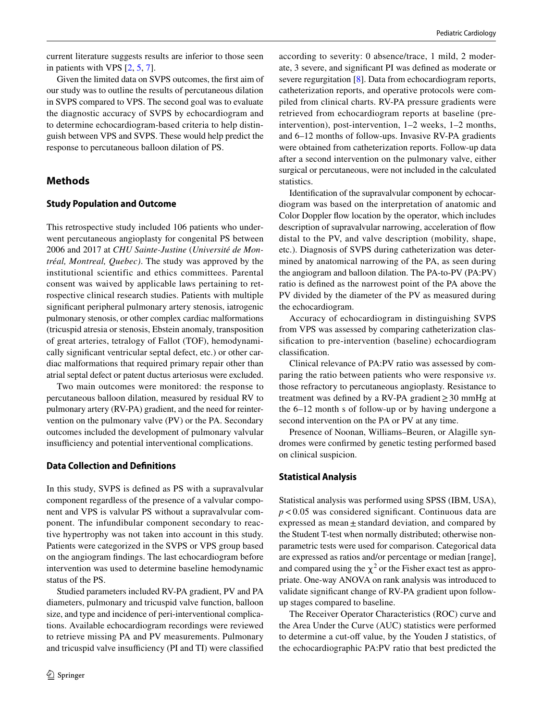current literature suggests results are inferior to those seen in patients with VPS [\[2](#page-6-2), [5](#page-6-4), [7](#page-6-6)].

Given the limited data on SVPS outcomes, the frst aim of our study was to outline the results of percutaneous dilation in SVPS compared to VPS. The second goal was to evaluate the diagnostic accuracy of SVPS by echocardiogram and to determine echocardiogram-based criteria to help distinguish between VPS and SVPS. These would help predict the response to percutaneous balloon dilation of PS.

## **Methods**

#### **Study Population and Outcome**

This retrospective study included 106 patients who underwent percutaneous angioplasty for congenital PS between 2006 and 2017 at *CHU Sainte-Justine* (*Université de Montréal, Montreal, Quebec)*. The study was approved by the institutional scientific and ethics committees. Parental consent was waived by applicable laws pertaining to retrospective clinical research studies. Patients with multiple signifcant peripheral pulmonary artery stenosis, iatrogenic pulmonary stenosis, or other complex cardiac malformations (tricuspid atresia or stenosis, Ebstein anomaly, transposition of great arteries, tetralogy of Fallot (TOF), hemodynamically signifcant ventricular septal defect, etc.) or other cardiac malformations that required primary repair other than atrial septal defect or patent ductus arteriosus were excluded.

Two main outcomes were monitored: the response to percutaneous balloon dilation, measured by residual RV to pulmonary artery (RV-PA) gradient, and the need for reintervention on the pulmonary valve (PV) or the PA. Secondary outcomes included the development of pulmonary valvular insufficiency and potential interventional complications.

#### **Data Collection and Defnitions**

In this study, SVPS is defned as PS with a supravalvular component regardless of the presence of a valvular component and VPS is valvular PS without a supravalvular component. The infundibular component secondary to reactive hypertrophy was not taken into account in this study. Patients were categorized in the SVPS or VPS group based on the angiogram fndings. The last echocardiogram before intervention was used to determine baseline hemodynamic status of the PS.

Studied parameters included RV-PA gradient, PV and PA diameters, pulmonary and tricuspid valve function, balloon size, and type and incidence of peri-interventional complications. Available echocardiogram recordings were reviewed to retrieve missing PA and PV measurements. Pulmonary and tricuspid valve insufficiency (PI and TI) were classified according to severity: 0 absence/trace, 1 mild, 2 moderate, 3 severe, and signifcant PI was defned as moderate or severe regurgitation [[8\]](#page-6-7). Data from echocardiogram reports, catheterization reports, and operative protocols were compiled from clinical charts. RV-PA pressure gradients were retrieved from echocardiogram reports at baseline (preintervention), post-intervention, 1–2 weeks, 1–2 months, and 6–12 months of follow-ups. Invasive RV-PA gradients were obtained from catheterization reports. Follow-up data after a second intervention on the pulmonary valve, either surgical or percutaneous, were not included in the calculated statistics.

Identifcation of the supravalvular component by echocardiogram was based on the interpretation of anatomic and Color Doppler flow location by the operator, which includes description of supravalvular narrowing, acceleration of flow distal to the PV, and valve description (mobility, shape, etc.). Diagnosis of SVPS during catheterization was determined by anatomical narrowing of the PA, as seen during the angiogram and balloon dilation. The PA-to-PV (PA:PV) ratio is defned as the narrowest point of the PA above the PV divided by the diameter of the PV as measured during the echocardiogram.

Accuracy of echocardiogram in distinguishing SVPS from VPS was assessed by comparing catheterization classifcation to pre-intervention (baseline) echocardiogram classifcation.

Clinical relevance of PA:PV ratio was assessed by comparing the ratio between patients who were responsive *vs*. those refractory to percutaneous angioplasty. Resistance to treatment was defned by a RV-PA gradient≥30 mmHg at the 6–12 month s of follow-up or by having undergone a second intervention on the PA or PV at any time.

Presence of Noonan, Williams–Beuren, or Alagille syndromes were confrmed by genetic testing performed based on clinical suspicion.

#### **Statistical Analysis**

Statistical analysis was performed using SPSS (IBM, USA), *p*<0.05 was considered signifcant. Continuous data are expressed as mean $\pm$ standard deviation, and compared by the Student T-test when normally distributed; otherwise nonparametric tests were used for comparison. Categorical data are expressed as ratios and/or percentage or median [range], and compared using the  $\chi^2$  or the Fisher exact test as appropriate. One-way ANOVA on rank analysis was introduced to validate signifcant change of RV-PA gradient upon followup stages compared to baseline.

The Receiver Operator Characteristics (ROC) curve and the Area Under the Curve (AUC) statistics were performed to determine a cut-off value, by the Youden J statistics, of the echocardiographic PA:PV ratio that best predicted the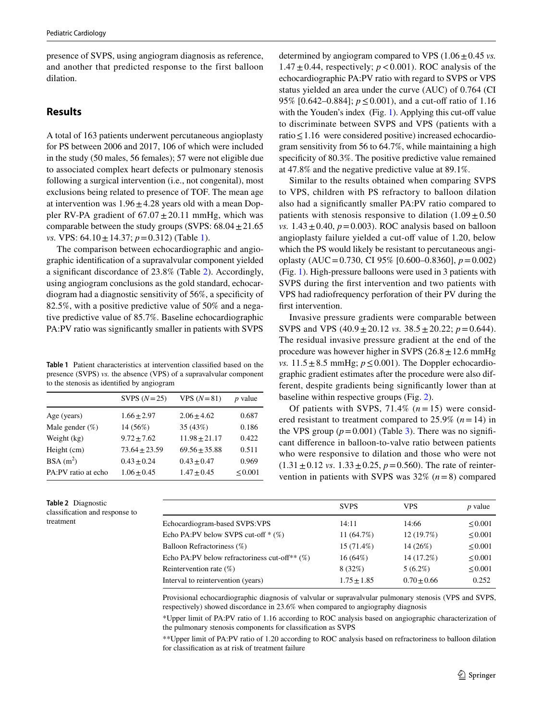presence of SVPS, using angiogram diagnosis as reference, and another that predicted response to the first balloon dilation.

# **Results**

A total of 163 patients underwent percutaneous angioplasty for PS between 2006 and 2017, 106 of which were included in the study (50 males, 56 females); 57 were not eligible due to associated complex heart defects or pulmonary stenosis following a surgical intervention (i.e., not congenital), most exclusions being related to presence of TOF. The mean age at intervention was  $1.96 \pm 4.28$  years old with a mean Doppler RV-PA gradient of  $67.07 \pm 20.11$  mmHg, which was comparable between the study groups (SVPS:  $68.04 \pm 21.65$ ) *vs.* VPS: 64.10 ± 14.37; *p* = 0.312) (Table [1\)](#page-2-0).

The comparison between echocardiographic and angiographic identifcation of a supravalvular component yielded a signifcant discordance of 23.8% (Table [2](#page-2-1)). Accordingly, using angiogram conclusions as the gold standard, echocardiogram had a diagnostic sensitivity of 56%, a specifcity of 82.5%, with a positive predictive value of 50% and a negative predictive value of 85.7%. Baseline echocardiographic PA:PV ratio was signifcantly smaller in patients with SVPS

<span id="page-2-0"></span>**Table 1** Patient characteristics at intervention classifed based on the presence (SVPS) *vs.* the absence (VPS) of a supravalvular component to the stenosis as identifed by angiogram

|                     | SVPS $(N=25)$     | $VPS (N=81)$      | $p$ value    |
|---------------------|-------------------|-------------------|--------------|
| Age (years)         | $1.66 \pm 2.97$   | $2.06 + 4.62$     | 0.687        |
| Male gender $(\%)$  | 14 (56%)          | 35 (43%)          | 0.186        |
| Weight (kg)         | $9.72 + 7.62$     | $11.98 \pm 21.17$ | 0.422        |
| Height (cm)         | $73.64 \pm 23.59$ | $69.56 + 35.88$   | 0.511        |
| $BSA(m^2)$          | $0.43 + 0.24$     | $0.43 + 0.47$     | 0.969        |
| PA:PV ratio at echo | $1.06 + 0.45$     | $1.47 + 0.45$     | $\leq 0.001$ |
|                     |                   |                   |              |

<span id="page-2-1"></span>**Table 2** Diagnostic classifcation and response to treatment

determined by angiogram compared to VPS  $(1.06 \pm 0.45 \text{ vs.})$ 1.47 $\pm$ 0.44, respectively;  $p < 0.001$ ). ROC analysis of the echocardiographic PA:PV ratio with regard to SVPS or VPS status yielded an area under the curve (AUC) of 0.764 (CI 95% [0.642–0.884]; *p* ≤ 0.001), and a cut-off ratio of 1.16 with the Youden's index  $(Fig. 1)$  $(Fig. 1)$  $(Fig. 1)$ . Applying this cut-off value to discriminate between SVPS and VPS (patients with a ratio≤1.16 were considered positive) increased echocardiogram sensitivity from 56 to 64.7%, while maintaining a high specificity of 80.3%. The positive predictive value remained at 47.8% and the negative predictive value at 89.1%.

Similar to the results obtained when comparing SVPS to VPS, children with PS refractory to balloon dilation also had a signifcantly smaller PA:PV ratio compared to patients with stenosis responsive to dilation  $(1.09 \pm 0.50$ *vs.*  $1.43 \pm 0.40$ ,  $p = 0.003$ ). ROC analysis based on balloon angioplasty failure yielded a cut-off value of 1.20, below which the PS would likely be resistant to percutaneous angioplasty (AUC=0.730, CI 95% [0.600–0.8360], *p*=0.002) (Fig. [1](#page-3-0)). High-pressure balloons were used in 3 patients with SVPS during the frst intervention and two patients with VPS had radiofrequency perforation of their PV during the first intervention.

Invasive pressure gradients were comparable between SVPS and VPS  $(40.9 \pm 20.12 \text{ vs. } 38.5 \pm 20.22; p = 0.644)$ . The residual invasive pressure gradient at the end of the procedure was however higher in SVPS  $(26.8 \pm 12.6 \text{ mmHg})$ *vs.*  $11.5 \pm 8.5$  mmHg;  $p \le 0.001$ ). The Doppler echocardiographic gradient estimates after the procedure were also different, despite gradients being signifcantly lower than at baseline within respective groups (Fig. [2](#page-3-1)).

Of patients with SVPS,  $71.4\%$   $(n=15)$  were considered resistant to treatment compared to 25.9% (*n*=14) in the VPS group  $(p=0.001)$  (Table [3\)](#page-4-0). There was no significant diference in balloon-to-valve ratio between patients who were responsive to dilation and those who were not  $(1.31 \pm 0.12 \text{ vs. } 1.33 \pm 0.25, p = 0.560)$ . The rate of reintervention in patients with SVPS was 32% (*n*=8) compared

|                                                  | <b>SVPS</b>     | <b>VPS</b>    | $p$ value    |
|--------------------------------------------------|-----------------|---------------|--------------|
| Echocardiogram-based SVPS: VPS                   | 14:11           | 14:66         | $\leq 0.001$ |
| Echo PA:PV below SVPS cut-off $*(\%)$            | 11 $(64.7%)$    | 12(19.7%)     | $\leq 0.001$ |
| Balloon Refractoriness (%)                       | $15(71.4\%)$    | 14(26%)       | $\leq 0.001$ |
| Echo PA:PV below refractoriness cut-off** $(\%)$ | $16(64\%)$      | 14 (17.2%)    | $\leq 0.001$ |
| Reintervention rate $(\%)$                       | 8(32%)          | $5(6.2\%)$    | $\leq 0.001$ |
| Interval to reintervention (years)               | $1.75 \pm 1.85$ | $0.70 + 0.66$ | 0.252        |

Provisional echocardiographic diagnosis of valvular or supravalvular pulmonary stenosis (VPS and SVPS, respectively) showed discordance in 23.6% when compared to angiography diagnosis

\*Upper limit of PA:PV ratio of 1.16 according to ROC analysis based on angiographic characterization of the pulmonary stenosis components for classifcation as SVPS

\*\*Upper limit of PA:PV ratio of 1.20 according to ROC analysis based on refractoriness to balloon dilation for classifcation as at risk of treatment failure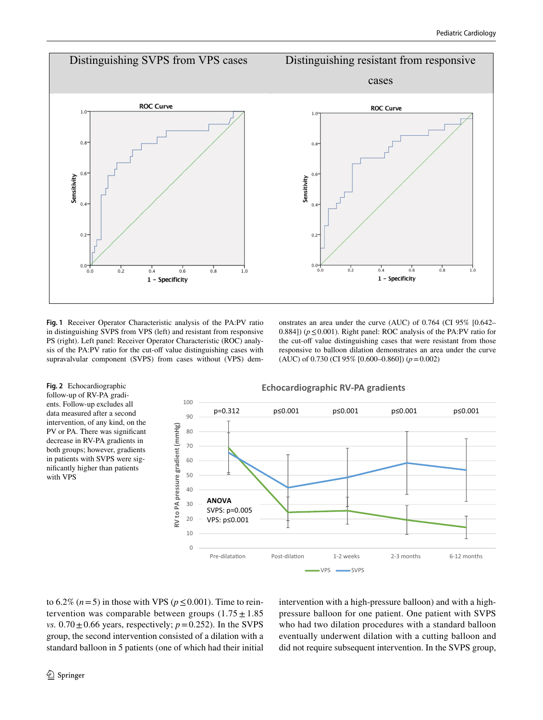

<span id="page-3-0"></span>**Fig. 1** Receiver Operator Characteristic analysis of the PA:PV ratio in distinguishing SVPS from VPS (left) and resistant from responsive PS (right). Left panel: Receiver Operator Characteristic (ROC) analysis of the PA:PV ratio for the cut-off value distinguishing cases with supravalvular component (SVPS) from cases without (VPS) demonstrates an area under the curve (AUC) of 0.764 (CI 95% [0.642– 0.884]) (*p*≤0.001). Right panel: ROC analysis of the PA:PV ratio for the cut-off value distinguishing cases that were resistant from those responsive to balloon dilation demonstrates an area under the curve (AUC) of 0.730 (CI 95% [0.600–0.860]) (*p*=0.002)

<span id="page-3-1"></span>**Fig. 2** Echocardiographic follow-up of RV-PA gradients. Follow-up excludes all data measured after a second intervention, of any kind, on the PV or PA. There was significant decrease in RV-PA gradients in both groups; however, gradients in patients with SVPS were signifcantly higher than patients with VPS



to  $6.2\%$  ( $n=5$ ) in those with VPS ( $p < 0.001$ ). Time to reintervention was comparable between groups  $(1.75 \pm 1.85)$ *vs.*  $0.70 \pm 0.66$  years, respectively;  $p = 0.252$ ). In the SVPS group, the second intervention consisted of a dilation with a standard balloon in 5 patients (one of which had their initial intervention with a high-pressure balloon) and with a highpressure balloon for one patient. One patient with SVPS who had two dilation procedures with a standard balloon eventually underwent dilation with a cutting balloon and did not require subsequent intervention. In the SVPS group,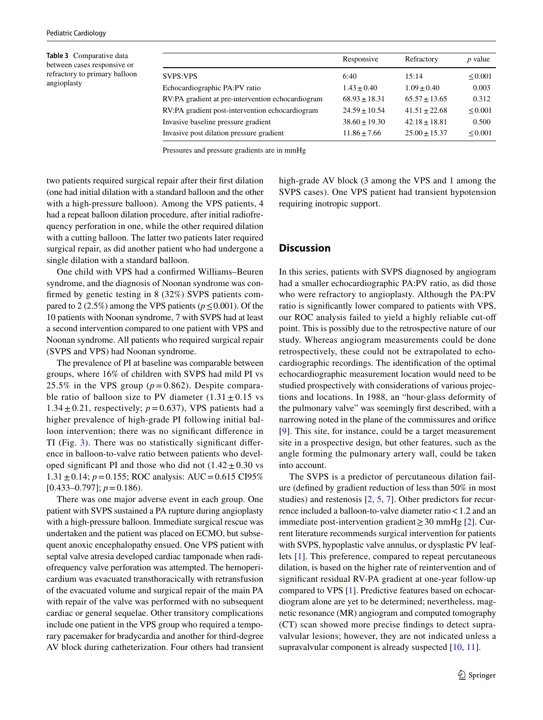<span id="page-4-0"></span>**Table 3** Comparative data between cases responsive or refractory to primary balloon angioplasty

|                                                   | Responsive       | Refractory      | <i>p</i> value |
|---------------------------------------------------|------------------|-----------------|----------------|
| <b>SVPS:VPS</b>                                   | 6:40             | 15:14           | $\leq 0.001$   |
| Echocardiographic PA:PV ratio                     | $1.43 + 0.40$    | $1.09 + 0.40$   | 0.003          |
| RV:PA gradient at pre-intervention echocardiogram | $68.93 + 18.31$  | $65.57 + 13.65$ | 0.312          |
| RV:PA gradient post-intervention echocardiogram   | $24.59 + 10.54$  | $41.51 + 22.68$ | $\leq 0.001$   |
| Invasive baseline pressure gradient               | $38.60 + 19.30$  | $42.18 + 18.81$ | 0.500          |
| Invasive post dilation pressure gradient          | $11.86 \pm 7.66$ | $25.00 + 15.37$ | < 0.001        |

Pressures and pressure gradients are in mmHg

two patients required surgical repair after their frst dilation (one had initial dilation with a standard balloon and the other with a high-pressure balloon). Among the VPS patients, 4 had a repeat balloon dilation procedure, after initial radiofrequency perforation in one, while the other required dilation with a cutting balloon. The latter two patients later required surgical repair, as did another patient who had undergone a single dilation with a standard balloon.

One child with VPS had a confrmed Williams–Beuren syndrome, and the diagnosis of Noonan syndrome was confrmed by genetic testing in 8 (32%) SVPS patients compared to 2 (2.5%) among the VPS patients ( $p \le 0.001$ ). Of the 10 patients with Noonan syndrome, 7 with SVPS had at least a second intervention compared to one patient with VPS and Noonan syndrome. All patients who required surgical repair (SVPS and VPS) had Noonan syndrome.

The prevalence of PI at baseline was comparable between groups, where 16% of children with SVPS had mild PI vs 25.5% in the VPS group  $(p=0.862)$ . Despite comparable ratio of balloon size to PV diameter  $(1.31 \pm 0.15 \text{ vs }$ 1.34 $\pm$ 0.21, respectively;  $p = 0.637$ ), VPS patients had a higher prevalence of high-grade PI following initial balloon intervention; there was no signifcant diference in TI (Fig. [3](#page-5-0)). There was no statistically signifcant diference in balloon-to-valve ratio between patients who developed significant PI and those who did not  $(1.42 \pm 0.30 \text{ vs }$ 1.31±0.14; *p*=0.155; ROC analysis: AUC=0.615 CI95% [0.433–0.797]; *p*=0.186).

There was one major adverse event in each group. One patient with SVPS sustained a PA rupture during angioplasty with a high-pressure balloon. Immediate surgical rescue was undertaken and the patient was placed on ECMO, but subsequent anoxic encephalopathy ensued. One VPS patient with septal valve atresia developed cardiac tamponade when radiofrequency valve perforation was attempted. The hemopericardium was evacuated transthoracically with retransfusion of the evacuated volume and surgical repair of the main PA with repair of the valve was performed with no subsequent cardiac or general sequelae. Other transitory complications include one patient in the VPS group who required a temporary pacemaker for bradycardia and another for third-degree AV block during catheterization. Four others had transient high-grade AV block (3 among the VPS and 1 among the SVPS cases). One VPS patient had transient hypotension requiring inotropic support.

## **Discussion**

In this series, patients with SVPS diagnosed by angiogram had a smaller echocardiographic PA:PV ratio, as did those who were refractory to angioplasty. Although the PA:PV ratio is signifcantly lower compared to patients with VPS, our ROC analysis failed to yield a highly reliable cut-of point. This is possibly due to the retrospective nature of our study. Whereas angiogram measurements could be done retrospectively, these could not be extrapolated to echocardiographic recordings. The identifcation of the optimal echocardiographic measurement location would need to be studied prospectively with considerations of various projections and locations. In 1988, an "hour-glass deformity of the pulmonary valve" was seemingly frst described, with a narrowing noted in the plane of the commissures and orifce [[9\]](#page-6-8). This site, for instance, could be a target measurement site in a prospective design, but other features, such as the angle forming the pulmonary artery wall, could be taken into account.

The SVPS is a predictor of percutaneous dilation failure (defned by gradient reduction of less than 50% in most studies) and restenosis [\[2](#page-6-2), [5,](#page-6-4) [7\]](#page-6-6). Other predictors for recurrence included a balloon-to-valve diameter ratio<1.2 and an immediate post-intervention gradient≥30 mmHg [\[2\]](#page-6-2). Current literature recommends surgical intervention for patients with SVPS, hypoplastic valve annulus, or dysplastic PV leaflets [\[1\]](#page-6-0). This preference, compared to repeat percutaneous dilation, is based on the higher rate of reintervention and of signifcant residual RV-PA gradient at one-year follow-up compared to VPS [\[1](#page-6-0)]. Predictive features based on echocardiogram alone are yet to be determined; nevertheless, magnetic resonance (MR) angiogram and computed tomography (CT) scan showed more precise fndings to detect supravalvular lesions; however, they are not indicated unless a supravalvular component is already suspected [[10,](#page-6-9) [11\]](#page-6-10).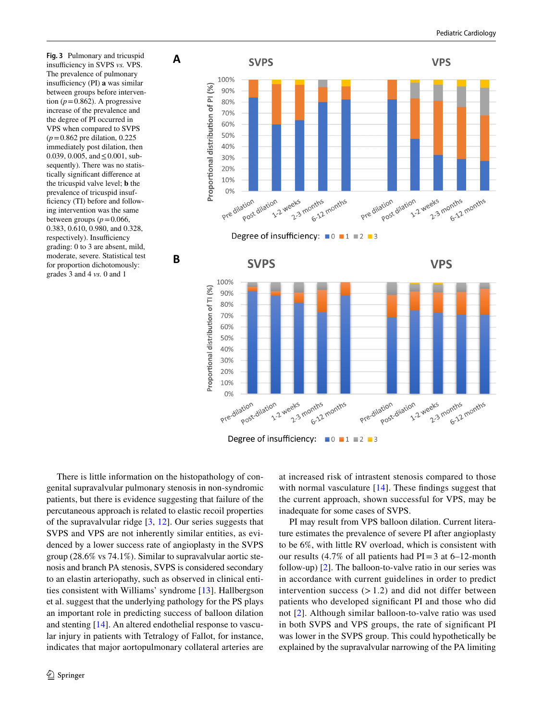<span id="page-5-0"></span>**Fig. 3** Pulmonary and tricuspid insufficiency in SVPS *vs.* VPS. The prevalence of pulmonary insufficiency (PI) a was similar between groups before intervention  $(p=0.862)$ . A progressive increase of the prevalence and the degree of PI occurred in VPS when compared to SVPS (*p*=0.862 pre dilation, 0.225 immediately post dilation, then 0.039, 0.005, and≤0.001, subsequently). There was no statistically signifcant diference at the tricuspid valve level; **b** the prevalence of tricuspid insufficiency (TI) before and following intervention was the same between groups ( $p = 0.066$ , 0.383, 0.610, 0.980, and 0.328, respectively). Insufficiency grading: 0 to 3 are absent, mild, moderate, severe. Statistical test for proportion dichotomously: grades 3 and 4 *vs.* 0 and 1

**A** 

**B** 





There is little information on the histopathology of congenital supravalvular pulmonary stenosis in non-syndromic patients, but there is evidence suggesting that failure of the percutaneous approach is related to elastic recoil properties of the supravalvular ridge  $[3, 12]$  $[3, 12]$  $[3, 12]$  $[3, 12]$ . Our series suggests that SVPS and VPS are not inherently similar entities, as evidenced by a lower success rate of angioplasty in the SVPS group (28.6% vs 74.1%). Similar to supravalvular aortic stenosis and branch PA stenosis, SVPS is considered secondary to an elastin arteriopathy, such as observed in clinical entities consistent with Williams' syndrome [\[13](#page-6-12)]. Hallbergson et al. suggest that the underlying pathology for the PS plays an important role in predicting success of balloon dilation and stenting [\[14\]](#page-6-13). An altered endothelial response to vascular injury in patients with Tetralogy of Fallot, for instance, indicates that major aortopulmonary collateral arteries are

at increased risk of intrastent stenosis compared to those with normal vasculature [[14\]](#page-6-13). These findings suggest that the current approach, shown successful for VPS, may be inadequate for some cases of SVPS.

PI may result from VPS balloon dilation. Current literature estimates the prevalence of severe PI after angioplasty to be 6%, with little RV overload, which is consistent with our results (4.7% of all patients had  $PI = 3$  at 6–12-month follow-up) [[2\]](#page-6-2). The balloon-to-valve ratio in our series was in accordance with current guidelines in order to predict intervention success  $(>1.2)$  and did not differ between patients who developed signifcant PI and those who did not [[2\]](#page-6-2). Although similar balloon-to-valve ratio was used in both SVPS and VPS groups, the rate of signifcant PI was lower in the SVPS group. This could hypothetically be explained by the supravalvular narrowing of the PA limiting